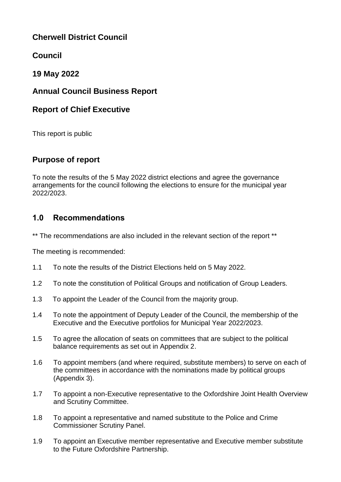# **Cherwell District Council**

# **Council**

# **19 May 2022**

# **Annual Council Business Report**

# **Report of Chief Executive**

This report is public

# **Purpose of report**

To note the results of the 5 May 2022 district elections and agree the governance arrangements for the council following the elections to ensure for the municipal year 2022/2023.

# **1.0 Recommendations**

\*\* The recommendations are also included in the relevant section of the report \*\*

The meeting is recommended:

- 1.1 To note the results of the District Elections held on 5 May 2022.
- 1.2 To note the constitution of Political Groups and notification of Group Leaders.
- 1.3 To appoint the Leader of the Council from the majority group.
- 1.4 To note the appointment of Deputy Leader of the Council, the membership of the Executive and the Executive portfolios for Municipal Year 2022/2023.
- 1.5 To agree the allocation of seats on committees that are subject to the political balance requirements as set out in Appendix 2.
- 1.6 To appoint members (and where required, substitute members) to serve on each of the committees in accordance with the nominations made by political groups (Appendix 3).
- 1.7 To appoint a non-Executive representative to the Oxfordshire Joint Health Overview and Scrutiny Committee.
- 1.8 To appoint a representative and named substitute to the Police and Crime Commissioner Scrutiny Panel.
- 1.9 To appoint an Executive member representative and Executive member substitute to the Future Oxfordshire Partnership.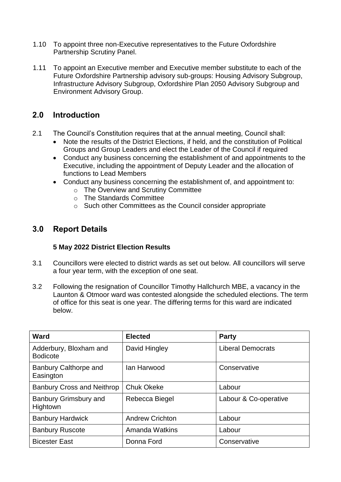- 1.10 To appoint three non-Executive representatives to the Future Oxfordshire Partnership Scrutiny Panel.
- 1.11 To appoint an Executive member and Executive member substitute to each of the Future Oxfordshire Partnership advisory sub-groups: Housing Advisory Subgroup, Infrastructure Advisory Subgroup, Oxfordshire Plan 2050 Advisory Subgroup and Environment Advisory Group.

# **2.0 Introduction**

- 2.1 The Council's Constitution requires that at the annual meeting, Council shall:
	- Note the results of the District Elections, if held, and the constitution of Political Groups and Group Leaders and elect the Leader of the Council if required
	- Conduct any business concerning the establishment of and appointments to the Executive, including the appointment of Deputy Leader and the allocation of functions to Lead Members
	- Conduct any business concerning the establishment of, and appointment to:
		- o The Overview and Scrutiny Committee
		- o The Standards Committee
		- o Such other Committees as the Council consider appropriate

## **3.0 Report Details**

### **5 May 2022 District Election Results**

- 3.1 Councillors were elected to district wards as set out below. All councillors will serve a four year term, with the exception of one seat.
- 3.2 Following the resignation of Councillor Timothy Hallchurch MBE, a vacancy in the Launton & Otmoor ward was contested alongside the scheduled elections. The term of office for this seat is one year. The differing terms for this ward are indicated below.

| Ward                                      | <b>Elected</b>         | <b>Party</b>             |
|-------------------------------------------|------------------------|--------------------------|
| Adderbury, Bloxham and<br><b>Bodicote</b> | David Hingley          | <b>Liberal Democrats</b> |
| Banbury Calthorpe and<br>Easington        | lan Harwood            | Conservative             |
| <b>Banbury Cross and Neithrop</b>         | <b>Chuk Okeke</b>      | Labour                   |
| Banbury Grimsbury and<br>Hightown         | Rebecca Biegel         | Labour & Co-operative    |
| <b>Banbury Hardwick</b>                   | <b>Andrew Crichton</b> | Labour                   |
| <b>Banbury Ruscote</b>                    | <b>Amanda Watkins</b>  | Labour                   |
| <b>Bicester East</b>                      | Donna Ford             | Conservative             |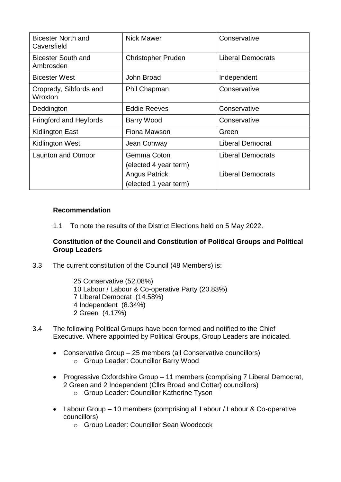| <b>Bicester North and</b><br>Caversfield | <b>Nick Mawer</b>                                                                     | Conservative                                         |
|------------------------------------------|---------------------------------------------------------------------------------------|------------------------------------------------------|
| <b>Bicester South and</b><br>Ambrosden   | <b>Christopher Pruden</b>                                                             | <b>Liberal Democrats</b>                             |
| <b>Bicester West</b>                     | John Broad                                                                            | Independent                                          |
| Cropredy, Sibfords and<br>Wroxton        | Phil Chapman                                                                          | Conservative                                         |
| Deddington                               | <b>Eddie Reeves</b>                                                                   | Conservative                                         |
| Fringford and Heyfords                   | <b>Barry Wood</b>                                                                     | Conservative                                         |
| Kidlington East                          | Fiona Mawson                                                                          | Green                                                |
| <b>Kidlington West</b>                   | Jean Conway                                                                           | <b>Liberal Democrat</b>                              |
| <b>Launton and Otmoor</b>                | Gemma Coton<br>(elected 4 year term)<br><b>Angus Patrick</b><br>(elected 1 year term) | <b>Liberal Democrats</b><br><b>Liberal Democrats</b> |

#### **Recommendation**

1.1 To note the results of the District Elections held on 5 May 2022.

#### **Constitution of the Council and Constitution of Political Groups and Political Group Leaders**

3.3 The current constitution of the Council (48 Members) is:

 Conservative (52.08%) Labour / Labour & Co-operative Party (20.83%) Liberal Democrat (14.58%) 4 Independent (8.34%) Green (4.17%)

- 3.4 The following Political Groups have been formed and notified to the Chief Executive. Where appointed by Political Groups, Group Leaders are indicated.
	- Conservative Group 25 members (all Conservative councillors) o Group Leader: Councillor Barry Wood
	- Progressive Oxfordshire Group 11 members (comprising 7 Liberal Democrat, 2 Green and 2 Independent (Cllrs Broad and Cotter) councillors)
		- o Group Leader: Councillor Katherine Tyson
	- Labour Group 10 members (comprising all Labour / Labour & Co-operative councillors)
		- o Group Leader: Councillor Sean Woodcock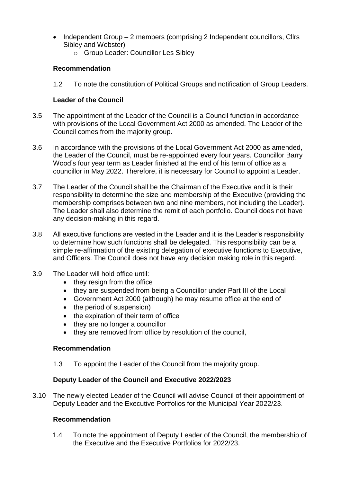- Independent Group 2 members (comprising 2 Independent councillors, Cllrs Sibley and Webster)
	- o Group Leader: Councillor Les Sibley

### **Recommendation**

1.2 To note the constitution of Political Groups and notification of Group Leaders.

### **Leader of the Council**

- 3.5 The appointment of the Leader of the Council is a Council function in accordance with provisions of the Local Government Act 2000 as amended. The Leader of the Council comes from the majority group.
- 3.6 In accordance with the provisions of the Local Government Act 2000 as amended, the Leader of the Council, must be re-appointed every four years. Councillor Barry Wood's four year term as Leader finished at the end of his term of office as a councillor in May 2022. Therefore, it is necessary for Council to appoint a Leader.
- 3.7 The Leader of the Council shall be the Chairman of the Executive and it is their responsibility to determine the size and membership of the Executive (providing the membership comprises between two and nine members, not including the Leader). The Leader shall also determine the remit of each portfolio. Council does not have any decision-making in this regard.
- 3.8 All executive functions are vested in the Leader and it is the Leader's responsibility to determine how such functions shall be delegated. This responsibility can be a simple re-affirmation of the existing delegation of executive functions to Executive, and Officers. The Council does not have any decision making role in this regard.
- 3.9 The Leader will hold office until:
	- they resign from the office
	- they are suspended from being a Councillor under Part III of the Local
	- Government Act 2000 (although) he may resume office at the end of
	- the period of suspension)
	- the expiration of their term of office
	- they are no longer a councillor
	- they are removed from office by resolution of the council,

### **Recommendation**

1.3 To appoint the Leader of the Council from the majority group.

## **Deputy Leader of the Council and Executive 2022/2023**

3.10 The newly elected Leader of the Council will advise Council of their appointment of Deputy Leader and the Executive Portfolios for the Municipal Year 2022/23.

## **Recommendation**

1.4 To note the appointment of Deputy Leader of the Council, the membership of the Executive and the Executive Portfolios for 2022/23.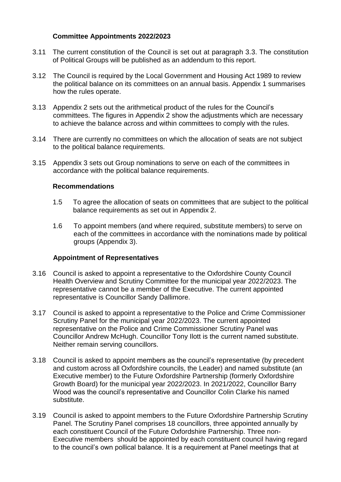### **Committee Appointments 2022/2023**

- 3.11 The current constitution of the Council is set out at paragraph 3.3. The constitution of Political Groups will be published as an addendum to this report.
- 3.12 The Council is required by the Local Government and Housing Act 1989 to review the political balance on its committees on an annual basis. Appendix 1 summarises how the rules operate.
- 3.13 Appendix 2 sets out the arithmetical product of the rules for the Council's committees. The figures in Appendix 2 show the adjustments which are necessary to achieve the balance across and within committees to comply with the rules.
- 3.14 There are currently no committees on which the allocation of seats are not subject to the political balance requirements.
- 3.15 Appendix 3 sets out Group nominations to serve on each of the committees in accordance with the political balance requirements.

#### **Recommendations**

- 1.5 To agree the allocation of seats on committees that are subject to the political balance requirements as set out in Appendix 2.
- 1.6 To appoint members (and where required, substitute members) to serve on each of the committees in accordance with the nominations made by political groups (Appendix 3).

#### **Appointment of Representatives**

- 3.16 Council is asked to appoint a representative to the Oxfordshire County Council Health Overview and Scrutiny Committee for the municipal year 2022/2023. The representative cannot be a member of the Executive. The current appointed representative is Councillor Sandy Dallimore.
- 3.17 Council is asked to appoint a representative to the Police and Crime Commissioner Scrutiny Panel for the municipal year 2022/2023. The current appointed representative on the Police and Crime Commissioner Scrutiny Panel was Councillor Andrew McHugh. Councillor Tony Ilott is the current named substitute. Neither remain serving councillors.
- 3.18 Council is asked to appoint members as the council's representative (by precedent and custom across all Oxfordshire councils, the Leader) and named substitute (an Executive member) to the Future Oxfordshire Partnership (formerly Oxfordshire Growth Board) for the municipal year 2022/2023. In 2021/2022, Councillor Barry Wood was the council's representative and Councillor Colin Clarke his named substitute.
- 3.19 Council is asked to appoint members to the Future Oxfordshire Partnership Scrutiny Panel. The Scrutiny Panel comprises 18 councillors, three appointed annually by each constituent Council of the Future Oxfordshire Partnership. Three non-Executive members should be appointed by each constituent council having regard to the council's own pollical balance. It is a requirement at Panel meetings that at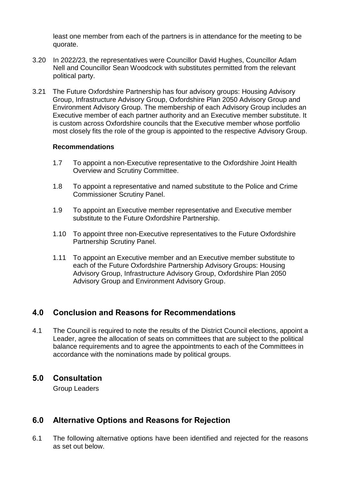least one member from each of the partners is in attendance for the meeting to be quorate.

- 3.20 In 2022/23, the representatives were Councillor David Hughes, Councillor Adam Nell and Councillor Sean Woodcock with substitutes permitted from the relevant political party.
- 3.21 The Future Oxfordshire Partnership has four advisory groups: Housing Advisory Group, Infrastructure Advisory Group, Oxfordshire Plan 2050 Advisory Group and Environment Advisory Group. The membership of each Advisory Group includes an Executive member of each partner authority and an Executive member substitute. It is custom across Oxfordshire councils that the Executive member whose portfolio most closely fits the role of the group is appointed to the respective Advisory Group.

#### **Recommendations**

- 1.7 To appoint a non-Executive representative to the Oxfordshire Joint Health Overview and Scrutiny Committee.
- 1.8 To appoint a representative and named substitute to the Police and Crime Commissioner Scrutiny Panel.
- 1.9 To appoint an Executive member representative and Executive member substitute to the Future Oxfordshire Partnership.
- 1.10 To appoint three non-Executive representatives to the Future Oxfordshire Partnership Scrutiny Panel.
- 1.11 To appoint an Executive member and an Executive member substitute to each of the Future Oxfordshire Partnership Advisory Groups: Housing Advisory Group, Infrastructure Advisory Group, Oxfordshire Plan 2050 Advisory Group and Environment Advisory Group.

# **4.0 Conclusion and Reasons for Recommendations**

4.1 The Council is required to note the results of the District Council elections, appoint a Leader, agree the allocation of seats on committees that are subject to the political balance requirements and to agree the appointments to each of the Committees in accordance with the nominations made by political groups.

## **5.0 Consultation**

Group Leaders

# **6.0 Alternative Options and Reasons for Rejection**

6.1 The following alternative options have been identified and rejected for the reasons as set out below.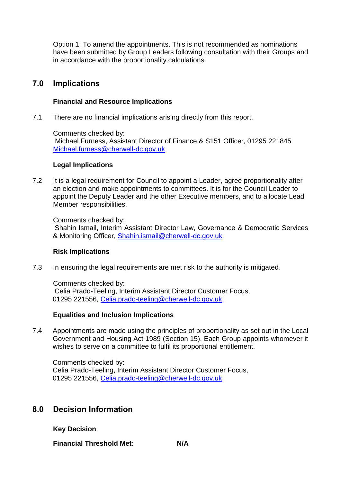Option 1: To amend the appointments. This is not recommended as nominations have been submitted by Group Leaders following consultation with their Groups and in accordance with the proportionality calculations.

## **7.0 Implications**

#### **Financial and Resource Implications**

7.1 There are no financial implications arising directly from this report.

Comments checked by: Michael Furness, Assistant Director of Finance & S151 Officer, 01295 221845 [Michael.furness@cherwell-dc.gov.uk](mailto:Michael.furness@cherwell-dc.gov.uk)

#### **Legal Implications**

7.2 It is a legal requirement for Council to appoint a Leader, agree proportionality after an election and make appointments to committees. It is for the Council Leader to appoint the Deputy Leader and the other Executive members, and to allocate Lead Member responsibilities.

Comments checked by:

Shahin Ismail, Interim Assistant Director Law, Governance & Democratic Services & Monitoring Officer, [Shahin.ismail@cherwell-dc.gov.uk](mailto:Shahin.ismail@cherwell-dc.gov.uk)

#### **Risk Implications**

7.3 In ensuring the legal requirements are met risk to the authority is mitigated.

Comments checked by: Celia Prado-Teeling, Interim Assistant Director Customer Focus, 01295 221556, [Celia.prado-teeling@cherwell-dc.gov.uk](mailto:Celia.prado-teeling@cherwell-dc.gov.uk) 

#### **Equalities and Inclusion Implications**

7.4 Appointments are made using the principles of proportionality as set out in the Local Government and Housing Act 1989 (Section 15). Each Group appoints whomever it wishes to serve on a committee to fulfil its proportional entitlement.

Comments checked by: Celia Prado-Teeling, Interim Assistant Director Customer Focus, 01295 221556, [Celia.prado-teeling@cherwell-dc.gov.uk](mailto:Celia.prado-teeling@cherwell-dc.gov.uk) 

## **8.0 Decision Information**

**Key Decision**

**Financial Threshold Met: N/A**